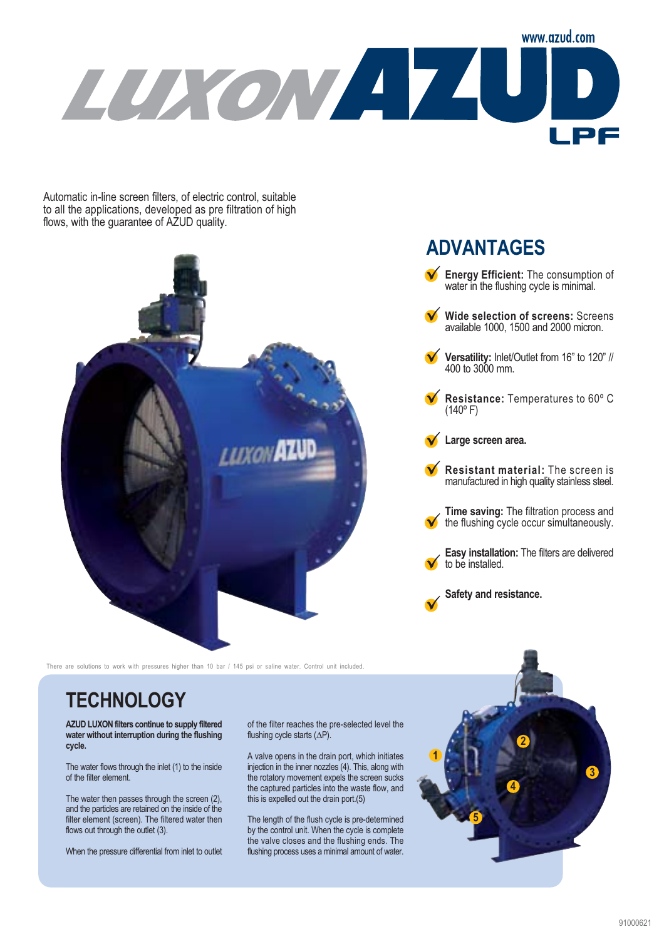

Automatic in-line screen filters, of electric control, suitable to all the applications, developed as pre filtration of high flows, with the guarantee of AZUD quality.



There are solutions to work with pressures higher than 10 bar / 145 psi or saline water. Control unit included

## **TECHNOLOGY**

**AZUD LUXON filters continue to supply filtered water without interruption during the flushing cycle.**

The water flows through the inlet (1) to the inside of the filter element.

The water then passes through the screen (2), and the particles are retained on the inside of the filter element (screen). The filtered water then flows out through the outlet (3).

When the pressure differential from inlet to outlet

of the filter reaches the pre-selected level the flushing cycle starts (∆P).

A valve opens in the drain port, which initiates injection in the inner nozzles (4). This, along with the rotatory movement expels the screen sucks the captured particles into the waste flow, and this is expelled out the drain port.(5)

The length of the flush cycle is pre-determined by the control unit. When the cycle is complete the valve closes and the flushing ends. The flushing process uses a minimal amount of water.